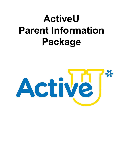# **ActiveU Parent Information Package**

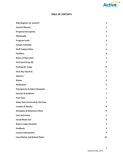

#### **TABLE OF CONTENTS**

| <b>Why Register for ActiveU?</b>           | 3                |
|--------------------------------------------|------------------|
| <b>ActiveU Mission</b>                     | 3                |
| <b>Program Description</b>                 | 3                |
| Philosophy                                 | 3                |
| <b>Program Goals</b>                       | $\boldsymbol{4}$ |
| <b>Sample Schedule</b>                     | $\boldsymbol{4}$ |
| <b>Staff-Camper Ratio</b>                  | $\boldsymbol{4}$ |
| <b>Facilities</b>                          | $\boldsymbol{4}$ |
| <b>Hours of Operation</b>                  | 4                |
| Pick Up & Drop Off                         | 5                |
| <b>Packing for Camp</b>                    | 6                |
| <b>First Day Check In</b>                  | 6                |
| <b>Absence</b>                             | $\boldsymbol{6}$ |
| <b>Illness</b>                             | 6                |
| <b>Medication</b>                          | 6                |
| <b>Emergencies &amp; Injury Response</b>   | 7                |
| <b>Injuries &amp; Incidents</b>            | 7                |
| <b>Pool Time</b>                           | $\overline{7}$   |
| <b>Rainy Days &amp; Extremely Hot Days</b> | $\overline{7}$   |
| <b>Lunches &amp; Snacks</b>                | 8                |
| <b>Discipline &amp; Behaviour Policy</b>   | 8                |
| <b>Lost and Found</b>                      | 9                |
| <b>Social Media Use</b>                    | 9                |
| <b>Before Camp Checklist</b>               | 9                |
| <b>Feedback</b>                            | 9                |
| <b>Contact Information</b>                 | 9                |
| <b>Cancellation and Refund Policy</b>      | 10               |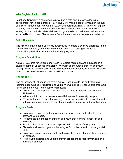

#### <span id="page-2-0"></span>**Why Register for ActiveU?**

Lakehead University is committed to providing a safe and interactive learning environment for children grades 1-6. ActiveU will make a positive impact in the lives of children through non-threatening, student centered learning. Children will explore a variety of recreation and education activities in Lakehead University's diverse setting. ActiveU will also allow children and youth to boost their self-confidence and social skills with others. Please take a few minutes to review the information below.

#### <span id="page-2-1"></span>**ActiveU Mission**

The mission of Lakehead University's ActiveU is to create a positive difference in the lives of children and youth through a student-centered learning approach to cooperative physical activity and educational programs.

#### <span id="page-2-2"></span>**Program Description**

ActiveU is a camp for children and youth to explore recreation and education in a diverse setting at Lakehead University. We wish to encourage children and youth through inclusive physical activity and interactive educational activities that will allow them to boost self-esteem and social skills with others.

#### <span id="page-2-3"></span>**Philosophy**

The philosophy of Lakehead University ActiveU is to provide fun and interactive learning opportunities for children and youth. We would like to offer unique programs for children and youth for the following reasons:

- To introduce participants to faculty, staff, athletes & coaches of Lakehead University.
- Allow youth to become comfortable with Lakehead University campus
- There is demand for non-threatening recreational activities to be coupled with educational programming to assist students both in school and social settings.

#### <span id="page-2-4"></span>**Program Goals**

- To provide a positive and enjoyable program with inspired leadership by all staff and volunteers.
- To demonstrate and teach children and youth that learning is both fun and valuable.
- Provide children with hands-on experience in a variety of disciplines
- To assist children and youth in boosting self-confidence and improving social skills.
- To encourage children and youth to develop their interest and skills in a variety of settings.
- To motivate children and youth to stay in school and to feel comfortable on a university campus.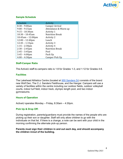

# <span id="page-3-0"></span>**Sample Schedule**

| Schedule                | Activity               |
|-------------------------|------------------------|
| $8:30 - 9:00am$         | Camper Arrival         |
| $9:00 - 9:15$ am        | Attendance & Warm up   |
| $9:15 - 10:30$ am       | <b>Activity 1</b>      |
| $10:30 - 10:45$ am      | <b>Nutrition Break</b> |
| $10:45$ am – $12:00$ pm | <b>Activity 2</b>      |
| $12:00 - 12:40$ pm      | Lunch                  |
| $12:45 - 1:15$ pm       | <b>Activity 3</b>      |
| $1:15 - 2:30$ pm        | <b>Activity 4</b>      |
| $2:30 - 2:45$ pm        | <b>Nutrition Break</b> |
| $2:45 - 3:45$ pm        | Pool                   |
| $3:45 - 4:00 \text{pm}$ | Pack Up                |
| $4:00 - 4:30 \text{pm}$ | Camper Pick Up         |

#### <span id="page-3-1"></span>**Staff-Camper Ratio**

The ActiveU staff-to-campers ratio is 1:8 for Grades 1-3, and 1:12 for Grades 4-6.

#### <span id="page-3-2"></span>**Facilities**

The Lakehead Athletics Centre (located at **[955 Sanders](https://goo.gl/maps/ZPtZmmnFsxDEQBcp6) Dr**) consists of the brand new Wolf Den, The C.J. Sanders Fieldhouse, and the Hangar. Campers will use a variety of facilities within the centre including our outdoor fields, outdoor volleyball courts, indoor turf field, indoor track, olympic length pool, and two indoor gymnasiums.

#### <span id="page-3-3"></span>**Hours of Operation**

ActiveU operates Monday – Friday, 8:30am – 4:30pm.

#### <span id="page-3-4"></span>**Pick Up & Drop Off:**

During registration, parents/guardians must provide the names of the people who are picking up their son or daughter. Staff will only allow children to go with the individuals on that list. If there is a change, a note can be sent with your child in the morning confirming the alternate pick-up person.

# **Parents must sign their children in and out each day, and should accompany the children in/out of the building.**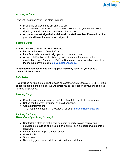

# *Arriving at Camp*

Drop Off Locations: Wolf Den Main Entrance

- Drop off is between 8:30 am and 9:00 am
- Drop off will be "Car-side". A staff member will come to your car window to sign-in your child in and escort them to their cohort.
- **● All parents must sign their child in with a staff member. Please do not let your child leave the car before signed in.**

# *Leaving Camp*

Pick Up Locations: Wolf Den Main Entrance

- Pick up is between  $4:00 \& 4:30 \text{ pm}^*$
- Identification is required to sign your child out each day
- ActiveU staff will only let children go with designated persons on the registration sheet. Authorized Pick-Up Names can be provided at drop-off in the morning or via email to [activeu@lakeheadu.ca](mailto:activeu@lakeheadu.ca)

# **\*Repeated instances of late pick-up past 4:30 may result in your child's dismissal from camp**

# *Late Arrival*

If you will be having a late arrival, please contact the Camp Office at 343-8010 x8950 to coordinate the late drop-off. We will direct you to the location of your child's group for drop-off purpose.

# *Leaving Early*

- One-day notice must be given to ActiveU staff if your child is leaving early.
- Notice can be given in writing, by email or phone.
- Contact Information:
	- o Camp phone: 343-8010 x8950 , or email [activeu@lakeheadu.ca](mailto:activeu@lakeheadu.ca)

# <span id="page-4-0"></span>**Packing for Camp** *What should you bring to camp?*

- Comfortable clothing that allows campers to participate in recreational activities both outside and inside. For example: t-shirt, shorts, sweat pants & sneakers.
- Indoor (non-marking) & Outdoor shoes
- Water bottle
- Sunscreen
- Swimming gear: swim suit, towel, & bag for wet clothes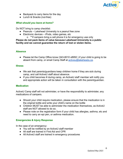

- Backpack to carry items for the day
- Lunch & Snacks (nut-free)

# *What should you leave at home?*

Do NOT bring to camp checklist:

- Peanuts Lakehead University is a peanut free zone
- Electronic devices iPods, video games, etc
	- o \*\*if campers bring a cell phone it is for emergency use only

**Please do not pack items of value because Lakehead University is a public facility and we cannot guarantee the return of lost or stolen items.**

# <span id="page-5-0"></span>**Absence**

● Please let the Camp Office know (343-8010 x8950 ) if your child is going to be absent from camp, or email Camp Staff at [activeu@lakeheadu.ca](mailto:activeu@lakeheadu.ca).

#### <span id="page-5-1"></span>**Illness**

- We ask that parents/guardians keep children home if they are sick during camp, and call ActiveU staff about absence.
- If you child becomes ill during camp, an ActiveU staff member will notify you and appropriate action will be taken in consultation with the parent/guardian.

#### <span id="page-5-2"></span>**Medication**

ActiveU Camp staff will not administer, or have the responsibility to administer, any medications of campers.

- Should your child require medication, please ensure that the medication is in the original bottle and write your child's name on the bottle
- Children MUST be able to administer the medication themselves, as ActiveU staff are NOT allowed to do so.
- Please note on the registration form if your child has allergies, asthma, etc and need to carry an epi pen, or asthma medication.

# <span id="page-5-3"></span>**Emergencies & Injury Response**

In the case of an emergency:

- You will be notified by an ActiveU staff member
- All staff are trained in First Aid and CPR
- All ActiveU staff are trained in emergency procedures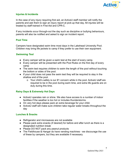

# <span id="page-6-0"></span>**Injuries & Incidents**

In the case of any injury requiring first aid, an ActiveU staff member will notify the parents and ask them to sign an injury report at pick-up that day. All injuries will be treated by staff trained in First Aid and CPR-C.

If any incidents occur through-out the day such as discipline or bullying behaviours, parents will also be notified and asked to sign an incident report.

#### <span id="page-6-1"></span>**Pool Time**

Campers have designated swim time most days in the Lakehead University Pool. Children may bring life jackets to camp if they prefer to use their own equipment.

# *Swimming Test*

- Every camper will be given a swim test at the start of every camp.
- Every camper will be presented with the Pool Rules on the first day of every camp
- The swim test requires children to swim the length of the pool without touching the bottom or sides of the pool.
- If your child does not pass the swim test they will be required to stay in the shallow end of the pool.
	- o Your child's safety is our #1 concern while in the pool. ActiveU staff are required to be in the pool during swim time, and extra life guards are on duty during this time.

# <span id="page-6-2"></span>**Rainy Days & Extremely Hot Days**

- ActiveU operates rain or shine. We also have access to a number of indoor facilities if the weather is too hot or includes thunderstorms.
- On very hot days please pack an extra beverage for your child.
- ActiveU staff will make sure children take regular water breaks throughout the day

#### <span id="page-6-3"></span>**Lunches & Snacks**

- Refrigerator and microwaves are not available
- Please pack extra snacks (if desired) for before and after lunch as there is a designated nutrition break
- Please DO NOT pack any peanut products
- The Fieldhouse & Hangar do have vending machines we discourage the use of these by campers, but they are available if necessary.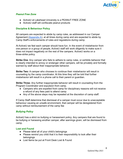

# *Peanut Free Zone*

- ActiveU at Lakehead University is a PEANUT FREE ZONE
- ActiveU staff will confiscate peanut products

# <span id="page-7-0"></span>**Discipline & Behaviour Policy**

All campers are expected to abide by camp rules, as addressed in our Camper Agreement ( $\Delta$ ppendix  $\Delta$ ), at all times during camp and are expected to abide by Camp Staff's enforcements of rules and regulations during camp.

At ActiveU we feel each camper should have fun. In the event of misbehavior from one person or a group of people, ActiveU staff will work diligently to make sure it does not impact negatively on the rest of the campers. ActiveU works on a three-strike policy.

**Strike One**: Any camper who fails to adhere to camp rules, or exhibits behavior that is clearly intended to annoy or endanger other campers, will be privately and formally warned by staff about their inappropriate behavior.

**Strike Two:** A camper who chooses to continue their misbehavior will result in counseling by the camp coordinator. At this time they will be told that further misbehavior will result in a phone call to their parent or guardian.

**Strike Three:** Any further inappropriate behavior will result in counseling from the Program Coordinator and expulsion from camp.

- Campers who are expelled from camp for disciplinary reasons will not receive a refund of any fees paid to attend camp.
- Any of the above steps may be repeated at the discretion of camp staff.

If Camp Staff determine that dismissal of a camper must occur due to unacceptable behaviour causing an unsafe environment, that camper will be deregistered from camp without reimbursement of the camp fee

# *Bullying Policy*

ActiveU has a strict no bullying or harassment policy. Any campers that are found to be bullying or harassing another camper, after warnings given, will be dismissed from camp.

#### <span id="page-7-1"></span>**Lost and Found**

- Please label all of your child's belongings
- Please remind you child that it is their responsibility to look after their belongings
- Lost Items be put at Front Desk Lost & Found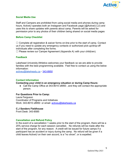

# <span id="page-8-0"></span>**Social Media Use**

Staff and Campers are prohibited from using social media and phones during camp hours. ActiveU operates both an Instagram and Facebook page (@ActiveU.LU) and uses this to share updates with parents about camp. Parents will be asked for permission prior to any photos of their children being shared on social media pages

#### <span id="page-8-1"></span>**Before Camp Checklist**

 $\Box$  Complete all registration & waiver forms on-line prior to the start of camp. Contact us if you need to update any emergency contacts or authorized pick-up/drop-off individuals after completing the forms.

 $\Box$  Please review our Camper Agreement (Appendix A) with your child(ren).

#### <span id="page-8-2"></span>**Feedback**

Lakehead University Athletics welcomes your feedback so we are able to provide families with the best programming available. Feel free to contact us using the below information:

[activeu@lakeheadu.ca](mailto:activeu@lakeheadu.ca) - 343-8950

#### <span id="page-8-3"></span>**Contact Information**

**Contacting your child in an emergency situation or during Camp Hours:**

● Call the Camp Office at 343-8010 x8950, and they will contact the appropriate person.

#### **For Questions Prior to Camp:**

Laura Ferguson Coordinator of Programs and Initiatives Work: 343-8010 x8950 or email: [activeu@lakeheadu.ca](mailto:activeu@lakeheadu.ca)

**C.J Sanders Fieldhouse**

Front Desk: 343-8585

# <span id="page-8-4"></span>**Cancellation and Refund Policy**

In the event of a cancellation 1 weeks prior to the start of the program, there will be a 25% service charge for each session cancelled. No refunds will be made after the start of the program, for any reason. A credit will be issued for future camps if a participant has an accident or injury during the camp. No refund will be given if a child leaves ActiveU on their own accord, is a "no show", or is expelled.